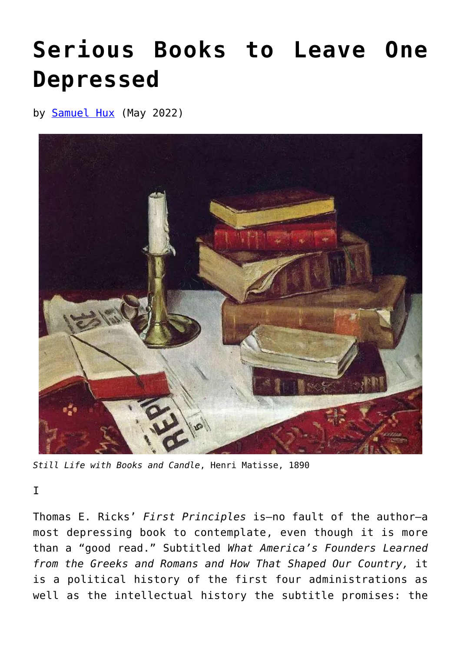## **[Serious Books to Leave One](https://www.newenglishreview.org/articles/serious-books-to-leave-one-depressed/) [Depressed](https://www.newenglishreview.org/articles/serious-books-to-leave-one-depressed/)**

by **[Samuel Hux](https://www.newenglishreview.org/authors/samuel-hux/)** (May 2022)



*Still Life with Books and Candle*, Henri Matisse, 1890

I

Thomas E. Ricks' *First Principles* is—no fault of the author—a most depressing book to contemplate, even though it is more than a "good read." Subtitled *What America's Founders Learned from the Greeks and Romans and How That Shaped Our Country,* it is a political history of the first four administrations as well as the intellectual history the subtitle promises: the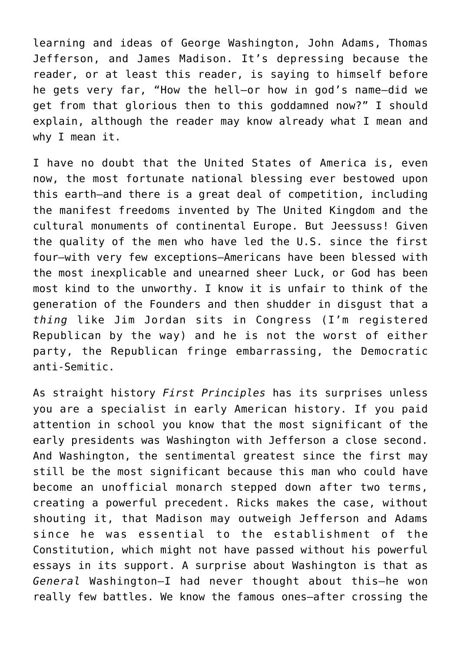learning and ideas of George Washington, John Adams, Thomas Jefferson, and James Madison. It's depressing because the reader, or at least this reader, is saying to himself before he gets very far, "How the hell—or how in god's name—did we get from that glorious then to this goddamned now?" I should explain, although the reader may know already what I mean and why I mean it.

I have no doubt that the United States of America is, even now, the most fortunate national blessing ever bestowed upon this earth—and there is a great deal of competition, including the manifest freedoms invented by The United Kingdom and the cultural monuments of continental Europe. But Jeessuss! Given the quality of the men who have led the U.S. since the first four—with very few exceptions—Americans have been blessed with the most inexplicable and unearned sheer Luck, or God has been most kind to the unworthy. I know it is unfair to think of the generation of the Founders and then shudder in disgust that a *thing* like Jim Jordan sits in Congress (I'm registered Republican by the way) and he is not the worst of either party, the Republican fringe embarrassing, the Democratic anti-Semitic.

As straight history *First Principles* has its surprises unless you are a specialist in early American history. If you paid attention in school you know that the most significant of the early presidents was Washington with Jefferson a close second. And Washington, the sentimental greatest since the first may still be the most significant because this man who could have become an unofficial monarch stepped down after two terms, creating a powerful precedent. Ricks makes the case, without shouting it, that Madison may outweigh Jefferson and Adams since he was essential to the establishment of the Constitution, which might not have passed without his powerful essays in its support. A surprise about Washington is that as *General* Washington—I had never thought about this—he won really few battles. We know the famous ones—after crossing the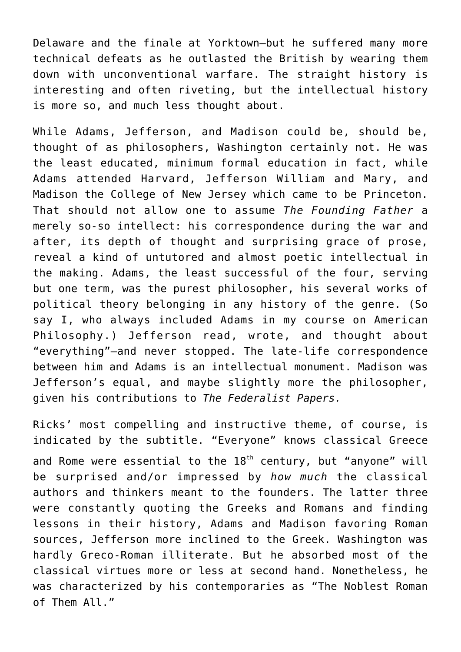Delaware and the finale at Yorktown—but he suffered many more technical defeats as he outlasted the British by wearing them down with unconventional warfare. The straight history is interesting and often riveting, but the intellectual history is more so, and much less thought about.

While Adams, Jefferson, and Madison could be, should be, thought of as philosophers, Washington certainly not. He was the least educated, minimum formal education in fact, while Adams attended Harvard, Jefferson William and Mary, and Madison the College of New Jersey which came to be Princeton. That should not allow one to assume *The Founding Father* a merely so-so intellect: his correspondence during the war and after, its depth of thought and surprising grace of prose, reveal a kind of untutored and almost poetic intellectual in the making. Adams, the least successful of the four, serving but one term, was the purest philosopher, his several works of political theory belonging in any history of the genre. (So say I, who always included Adams in my course on American Philosophy.) Jefferson read, wrote, and thought about "everything"—and never stopped. The late-life correspondence between him and Adams is an intellectual monument. Madison was Jefferson's equal, and maybe slightly more the philosopher, given his contributions to *The Federalist Papers.*

Ricks' most compelling and instructive theme, of course, is indicated by the subtitle. "Everyone" knows classical Greece and Rome were essential to the  $18<sup>th</sup>$  century, but "anyone" will be surprised and/or impressed by *how much* the classical authors and thinkers meant to the founders. The latter three were constantly quoting the Greeks and Romans and finding lessons in their history, Adams and Madison favoring Roman sources, Jefferson more inclined to the Greek. Washington was hardly Greco-Roman illiterate. But he absorbed most of the classical virtues more or less at second hand. Nonetheless, he was characterized by his contemporaries as "The Noblest Roman of Them All."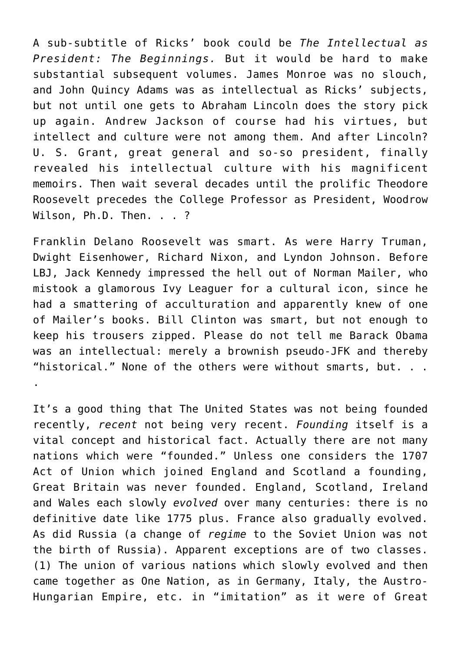A sub-subtitle of Ricks' book could be *The Intellectual as President: The Beginnings.* But it would be hard to make substantial subsequent volumes. James Monroe was no slouch, and John Quincy Adams was as intellectual as Ricks' subjects, but not until one gets to Abraham Lincoln does the story pick up again. Andrew Jackson of course had his virtues, but intellect and culture were not among them. And after Lincoln? U. S. Grant, great general and so-so president, finally revealed his intellectual culture with his magnificent memoirs. Then wait several decades until the prolific Theodore Roosevelt precedes the College Professor as President, Woodrow Wilson, Ph.D. Then. . . ?

Franklin Delano Roosevelt was smart. As were Harry Truman, Dwight Eisenhower, Richard Nixon, and Lyndon Johnson. Before LBJ, Jack Kennedy impressed the hell out of Norman Mailer, who mistook a glamorous Ivy Leaguer for a cultural icon, since he had a smattering of acculturation and apparently knew of one of Mailer's books. Bill Clinton was smart, but not enough to keep his trousers zipped. Please do not tell me Barack Obama was an intellectual: merely a brownish pseudo-JFK and thereby "historical." None of the others were without smarts, but. . . .

It's a good thing that The United States was not being founded recently, *recent* not being very recent. *Founding* itself is a vital concept and historical fact. Actually there are not many nations which were "founded." Unless one considers the 1707 Act of Union which joined England and Scotland a founding, Great Britain was never founded. England, Scotland, Ireland and Wales each slowly *evolved* over many centuries: there is no definitive date like 1775 plus. France also gradually evolved. As did Russia (a change of *regime* to the Soviet Union was not the birth of Russia). Apparent exceptions are of two classes. (1) The union of various nations which slowly evolved and then came together as One Nation, as in Germany, Italy, the Austro-Hungarian Empire, etc. in "imitation" as it were of Great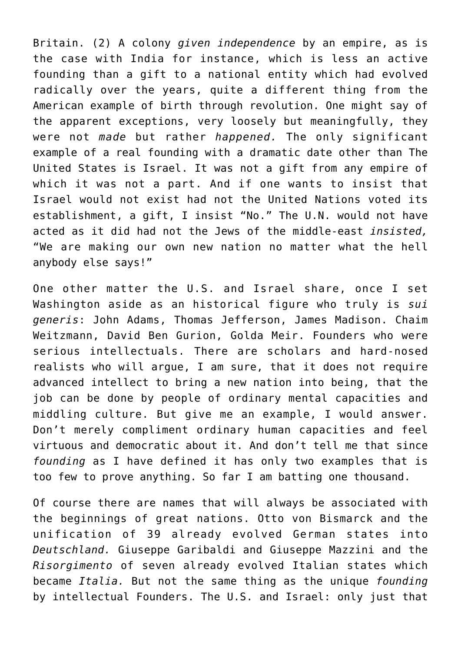Britain. (2) A colony *given independence* by an empire, as is the case with India for instance, which is less an active founding than a gift to a national entity which had evolved radically over the years, quite a different thing from the American example of birth through revolution. One might say of the apparent exceptions, very loosely but meaningfully, they were not *made* but rather *happened.* The only significant example of a real founding with a dramatic date other than The United States is Israel. It was not a gift from any empire of which it was not a part. And if one wants to insist that Israel would not exist had not the United Nations voted its establishment, a gift, I insist "No." The U.N. would not have acted as it did had not the Jews of the middle-east *insisted,* "We are making our own new nation no matter what the hell anybody else says!"

One other matter the U.S. and Israel share, once I set Washington aside as an historical figure who truly is *sui generis*: John Adams, Thomas Jefferson, James Madison. Chaim Weitzmann, David Ben Gurion, Golda Meir. Founders who were serious intellectuals. There are scholars and hard-nosed realists who will argue, I am sure, that it does not require advanced intellect to bring a new nation into being, that the job can be done by people of ordinary mental capacities and middling culture. But give me an example, I would answer. Don't merely compliment ordinary human capacities and feel virtuous and democratic about it. And don't tell me that since *founding* as I have defined it has only two examples that is too few to prove anything. So far I am batting one thousand.

Of course there are names that will always be associated with the beginnings of great nations. Otto von Bismarck and the unification of 39 already evolved German states into *Deutschland.* Giuseppe Garibaldi and Giuseppe Mazzini and the *Risorgimento* of seven already evolved Italian states which became *Italia.* But not the same thing as the unique *founding* by intellectual Founders. The U.S. and Israel: only just that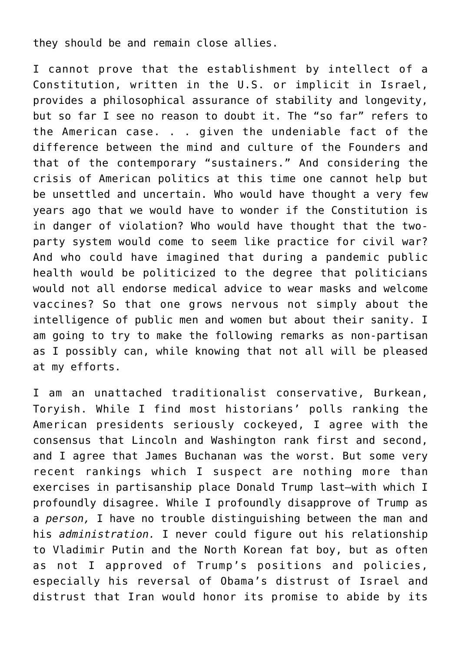they should be and remain close allies.

I cannot prove that the establishment by intellect of a Constitution, written in the U.S. or implicit in Israel, provides a philosophical assurance of stability and longevity, but so far I see no reason to doubt it. The "so far" refers to the American case. . . given the undeniable fact of the difference between the mind and culture of the Founders and that of the contemporary "sustainers." And considering the crisis of American politics at this time one cannot help but be unsettled and uncertain. Who would have thought a very few years ago that we would have to wonder if the Constitution is in danger of violation? Who would have thought that the twoparty system would come to seem like practice for civil war? And who could have imagined that during a pandemic public health would be politicized to the degree that politicians would not all endorse medical advice to wear masks and welcome vaccines? So that one grows nervous not simply about the intelligence of public men and women but about their sanity. I am going to try to make the following remarks as non-partisan as I possibly can, while knowing that not all will be pleased at my efforts.

I am an unattached traditionalist conservative, Burkean, Toryish. While I find most historians' polls ranking the American presidents seriously cockeyed, I agree with the consensus that Lincoln and Washington rank first and second, and I agree that James Buchanan was the worst. But some very recent rankings which I suspect are nothing more than exercises in partisanship place Donald Trump last—with which I profoundly disagree. While I profoundly disapprove of Trump as a *person,* I have no trouble distinguishing between the man and his *administration.* I never could figure out his relationship to Vladimir Putin and the North Korean fat boy, but as often as not I approved of Trump's positions and policies, especially his reversal of Obama's distrust of Israel and distrust that Iran would honor its promise to abide by its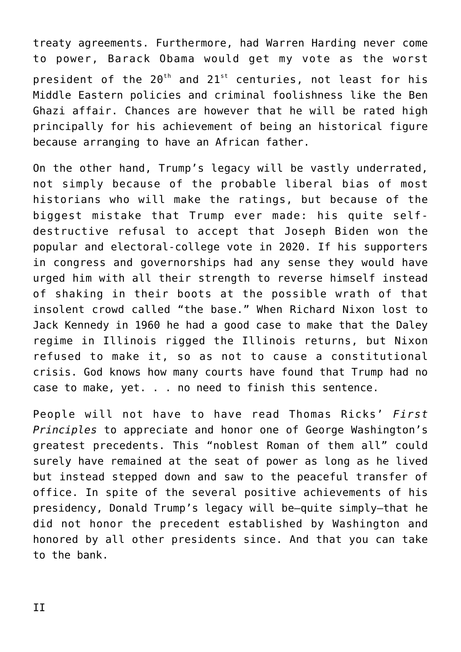treaty agreements. Furthermore, had Warren Harding never come to power, Barack Obama would get my vote as the worst president of the  $20^{th}$  and  $21^{st}$  centuries, not least for his Middle Eastern policies and criminal foolishness like the Ben Ghazi affair. Chances are however that he will be rated high principally for his achievement of being an historical figure because arranging to have an African father.

On the other hand, Trump's legacy will be vastly underrated, not simply because of the probable liberal bias of most historians who will make the ratings, but because of the biggest mistake that Trump ever made: his quite selfdestructive refusal to accept that Joseph Biden won the popular and electoral-college vote in 2020. If his supporters in congress and governorships had any sense they would have urged him with all their strength to reverse himself instead of shaking in their boots at the possible wrath of that insolent crowd called "the base." When Richard Nixon lost to Jack Kennedy in 1960 he had a good case to make that the Daley regime in Illinois rigged the Illinois returns, but Nixon refused to make it, so as not to cause a constitutional crisis. God knows how many courts have found that Trump had no case to make, yet. . . no need to finish this sentence.

People will not have to have read Thomas Ricks' *First Principles* to appreciate and honor one of George Washington's greatest precedents. This "noblest Roman of them all" could surely have remained at the seat of power as long as he lived but instead stepped down and saw to the peaceful transfer of office. In spite of the several positive achievements of his presidency, Donald Trump's legacy will be—quite simply–that he did not honor the precedent established by Washington and honored by all other presidents since. And that you can take to the bank.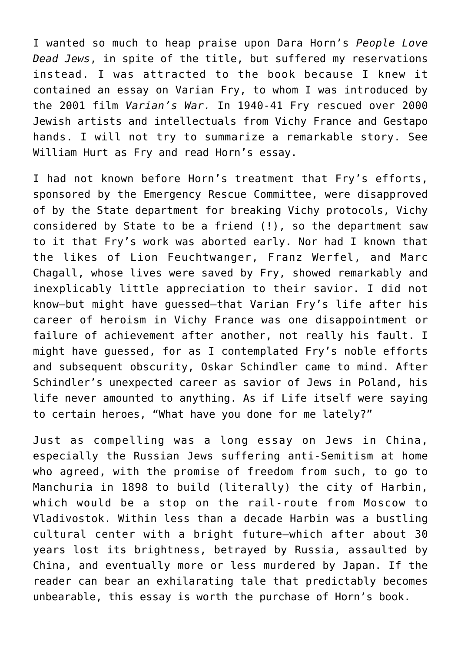I wanted so much to heap praise upon Dara Horn's *People Love Dead Jews*, in spite of the title, but suffered my reservations instead. I was attracted to the book because I knew it contained an essay on Varian Fry, to whom I was introduced by the 2001 film *Varian's War.* In 1940-41 Fry rescued over 2000 Jewish artists and intellectuals from Vichy France and Gestapo hands. I will not try to summarize a remarkable story. See William Hurt as Fry and read Horn's essay.

I had not known before Horn's treatment that Fry's efforts, sponsored by the Emergency Rescue Committee, were disapproved of by the State department for breaking Vichy protocols, Vichy considered by State to be a friend (!), so the department saw to it that Fry's work was aborted early. Nor had I known that the likes of Lion Feuchtwanger, Franz Werfel, and Marc Chagall, whose lives were saved by Fry, showed remarkably and inexplicably little appreciation to their savior. I did not know—but might have guessed—that Varian Fry's life after his career of heroism in Vichy France was one disappointment or failure of achievement after another, not really his fault. I might have guessed, for as I contemplated Fry's noble efforts and subsequent obscurity, Oskar Schindler came to mind. After Schindler's unexpected career as savior of Jews in Poland, his life never amounted to anything. As if Life itself were saying to certain heroes, "What have you done for me lately?"

Just as compelling was a long essay on Jews in China, especially the Russian Jews suffering anti-Semitism at home who agreed, with the promise of freedom from such, to go to Manchuria in 1898 to build (literally) the city of Harbin, which would be a stop on the rail-route from Moscow to Vladivostok. Within less than a decade Harbin was a bustling cultural center with a bright future—which after about 30 years lost its brightness, betrayed by Russia, assaulted by China, and eventually more or less murdered by Japan. If the reader can bear an exhilarating tale that predictably becomes unbearable, this essay is worth the purchase of Horn's book.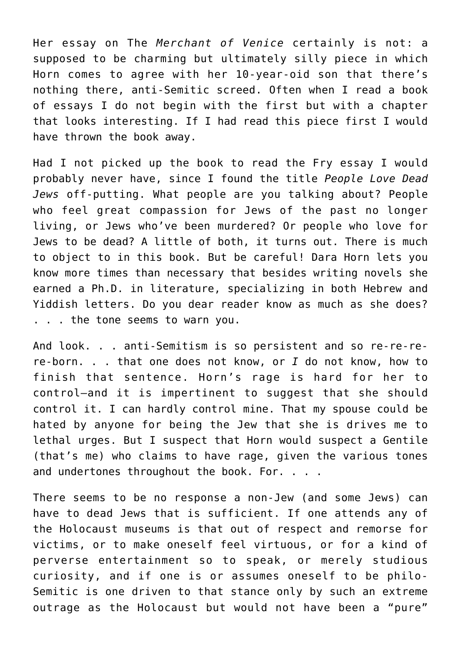Her essay on The *Merchant of Venice* certainly is not: a supposed to be charming but ultimately silly piece in which Horn comes to agree with her 10-year-oid son that there's nothing there, anti-Semitic screed. Often when I read a book of essays I do not begin with the first but with a chapter that looks interesting. If I had read this piece first I would have thrown the book away.

Had I not picked up the book to read the Fry essay I would probably never have, since I found the title *People Love Dead Jews* off-putting. What people are you talking about? People who feel great compassion for Jews of the past no longer living, or Jews who've been murdered? Or people who love for Jews to be dead? A little of both, it turns out. There is much to object to in this book. But be careful! Dara Horn lets you know more times than necessary that besides writing novels she earned a Ph.D. in literature, specializing in both Hebrew and Yiddish letters. Do you dear reader know as much as she does? . . . the tone seems to warn you.

And look. . . anti-Semitism is so persistent and so re-re-rere-born. . . that one does not know, or *I* do not know, how to finish that sentence. Horn's rage is hard for her to control—and it is impertinent to suggest that she should control it. I can hardly control mine. That my spouse could be hated by anyone for being the Jew that she is drives me to lethal urges. But I suspect that Horn would suspect a Gentile (that's me) who claims to have rage, given the various tones and undertones throughout the book. For. . . .

There seems to be no response a non-Jew (and some Jews) can have to dead Jews that is sufficient. If one attends any of the Holocaust museums is that out of respect and remorse for victims, or to make oneself feel virtuous, or for a kind of perverse entertainment so to speak, or merely studious curiosity, and if one is or assumes oneself to be philo-Semitic is one driven to that stance only by such an extreme outrage as the Holocaust but would not have been a "pure"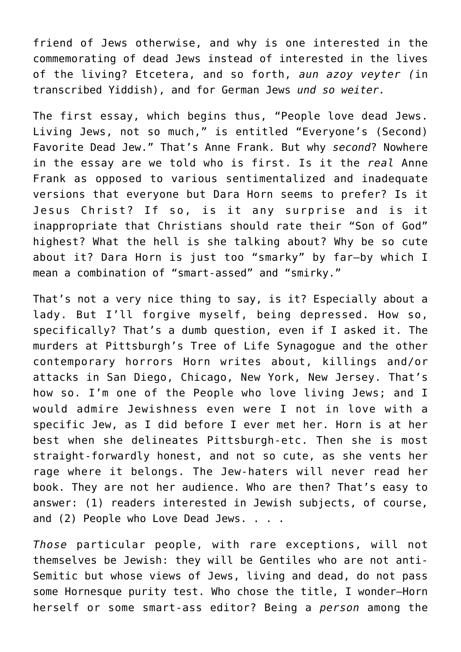friend of Jews otherwise, and why is one interested in the commemorating of dead Jews instead of interested in the lives of the living? Etcetera, and so forth, *aun azoy veyter (*in transcribed Yiddish), and for German Jews *und so weiter.*

The first essay, which begins thus, "People love dead Jews. Living Jews, not so much," is entitled "Everyone's (Second) Favorite Dead Jew." That's Anne Frank. But why *second*? Nowhere in the essay are we told who is first. Is it the *real* Anne Frank as opposed to various sentimentalized and inadequate versions that everyone but Dara Horn seems to prefer? Is it Jesus Christ? If so, is it any surprise and is it inappropriate that Christians should rate their "Son of God" highest? What the hell is she talking about? Why be so cute about it? Dara Horn is just too "smarky" by far—by which I mean a combination of "smart-assed" and "smirky."

That's not a very nice thing to say, is it? Especially about a lady. But I'll forgive myself, being depressed. How so, specifically? That's a dumb question, even if I asked it. The murders at Pittsburgh's Tree of Life Synagogue and the other contemporary horrors Horn writes about, killings and/or attacks in San Diego, Chicago, New York, New Jersey. That's how so. I'm one of the People who love living Jews; and I would admire Jewishness even were I not in love with a specific Jew, as I did before I ever met her. Horn is at her best when she delineates Pittsburgh-etc. Then she is most straight-forwardly honest, and not so cute, as she vents her rage where it belongs. The Jew-haters will never read her book. They are not her audience. Who are then? That's easy to answer: (1) readers interested in Jewish subjects, of course, and (2) People who Love Dead Jews. . . .

*Those* particular people, with rare exceptions, will not themselves be Jewish: they will be Gentiles who are not anti-Semitic but whose views of Jews, living and dead, do not pass some Hornesque purity test. Who chose the title, I wonder—Horn herself or some smart-ass editor? Being a *person* among the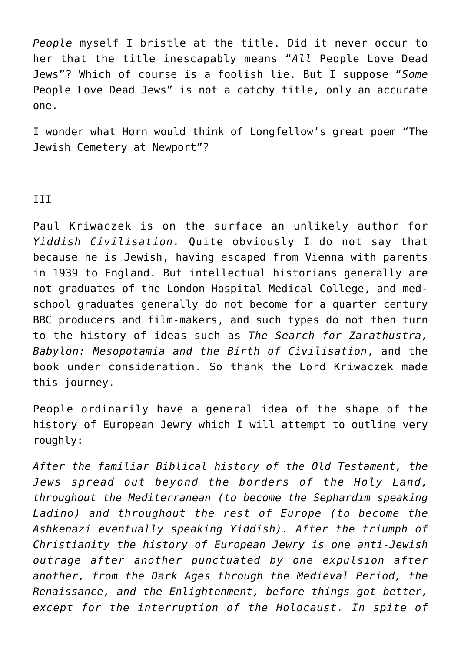*People* myself I bristle at the title. Did it never occur to her that the title inescapably means "*All* People Love Dead Jews"? Which of course is a foolish lie. But I suppose "*Some* People Love Dead Jews" is not a catchy title, only an accurate one.

I wonder what Horn would think of Longfellow's great poem "The Jewish Cemetery at Newport"?

## III

Paul Kriwaczek is on the surface an unlikely author for *Yiddish Civilisation.* Quite obviously I do not say that because he is Jewish, having escaped from Vienna with parents in 1939 to England. But intellectual historians generally are not graduates of the London Hospital Medical College, and medschool graduates generally do not become for a quarter century BBC producers and film-makers, and such types do not then turn to the history of ideas such as *The Search for Zarathustra, Babylon: Mesopotamia and the Birth of Civilisation*, and the book under consideration. So thank the Lord Kriwaczek made this journey.

People ordinarily have a general idea of the shape of the history of European Jewry which I will attempt to outline very roughly:

*After the familiar Biblical history of the Old Testament, the Jews spread out beyond the borders of the Holy Land, throughout the Mediterranean (to become the Sephardim speaking Ladino) and throughout the rest of Europe (to become the Ashkenazi eventually speaking Yiddish). After the triumph of Christianity the history of European Jewry is one anti-Jewish outrage after another punctuated by one expulsion after another, from the Dark Ages through the Medieval Period, the Renaissance, and the Enlightenment, before things got better, except for the interruption of the Holocaust. In spite of*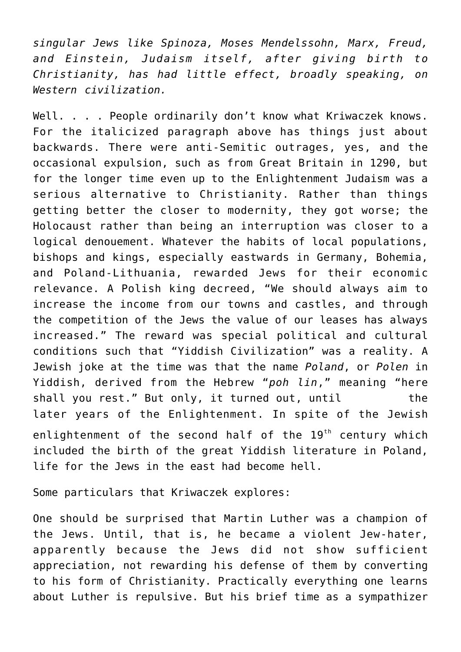*singular Jews like Spinoza, Moses Mendelssohn, Marx, Freud, and Einstein, Judaism itself, after giving birth to Christianity, has had little effect, broadly speaking, on Western civilization.*

Well. . . . People ordinarily don't know what Kriwaczek knows. For the italicized paragraph above has things just about backwards. There were anti-Semitic outrages, yes, and the occasional expulsion, such as from Great Britain in 1290, but for the longer time even up to the Enlightenment Judaism was a serious alternative to Christianity. Rather than things getting better the closer to modernity, they got worse; the Holocaust rather than being an interruption was closer to a logical denouement. Whatever the habits of local populations, bishops and kings, especially eastwards in Germany, Bohemia, and Poland-Lithuania, rewarded Jews for their economic relevance. A Polish king decreed, "We should always aim to increase the income from our towns and castles, and through the competition of the Jews the value of our leases has always increased." The reward was special political and cultural conditions such that "Yiddish Civilization" was a reality. A Jewish joke at the time was that the name *Poland*, or *Polen* in Yiddish, derived from the Hebrew "*poh lin*," meaning "here shall you rest." But only, it turned out, until the later years of the Enlightenment. In spite of the Jewish enlightenment of the second half of the  $19<sup>th</sup>$  century which included the birth of the great Yiddish literature in Poland, life for the Jews in the east had become hell.

Some particulars that Kriwaczek explores:

One should be surprised that Martin Luther was a champion of the Jews. Until, that is, he became a violent Jew-hater, apparently because the Jews did not show sufficient appreciation, not rewarding his defense of them by converting to his form of Christianity. Practically everything one learns about Luther is repulsive. But his brief time as a sympathizer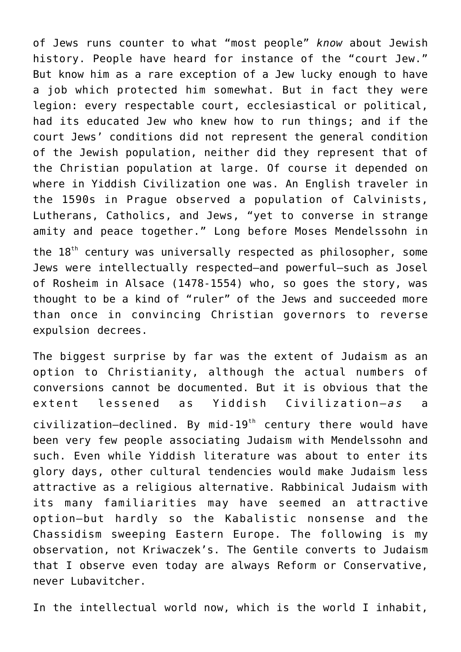of Jews runs counter to what "most people" *know* about Jewish history. People have heard for instance of the "court Jew." But know him as a rare exception of a Jew lucky enough to have a job which protected him somewhat. But in fact they were legion: every respectable court, ecclesiastical or political, had its educated Jew who knew how to run things; and if the court Jews' conditions did not represent the general condition of the Jewish population, neither did they represent that of the Christian population at large. Of course it depended on where in Yiddish Civilization one was. An English traveler in the 1590s in Prague observed a population of Calvinists, Lutherans, Catholics, and Jews, "yet to converse in strange amity and peace together." Long before Moses Mendelssohn in the 18<sup>th</sup> century was universally respected as philosopher, some Jews were intellectually respected—and powerful—such as Josel of Rosheim in Alsace (1478-1554) who, so goes the story, was thought to be a kind of "ruler" of the Jews and succeeded more than once in convincing Christian governors to reverse expulsion decrees.

The biggest surprise by far was the extent of Judaism as an option to Christianity, although the actual numbers of conversions cannot be documented. But it is obvious that the extent lessened as Yiddish Civilization-as a  $civilization-declined.$  By mid-19<sup>th</sup> century there would have been very few people associating Judaism with Mendelssohn and such. Even while Yiddish literature was about to enter its glory days, other cultural tendencies would make Judaism less attractive as a religious alternative. Rabbinical Judaism with its many familiarities may have seemed an attractive option—but hardly so the Kabalistic nonsense and the Chassidism sweeping Eastern Europe. The following is my observation, not Kriwaczek's. The Gentile converts to Judaism that I observe even today are always Reform or Conservative, never Lubavitcher.

In the intellectual world now, which is the world I inhabit,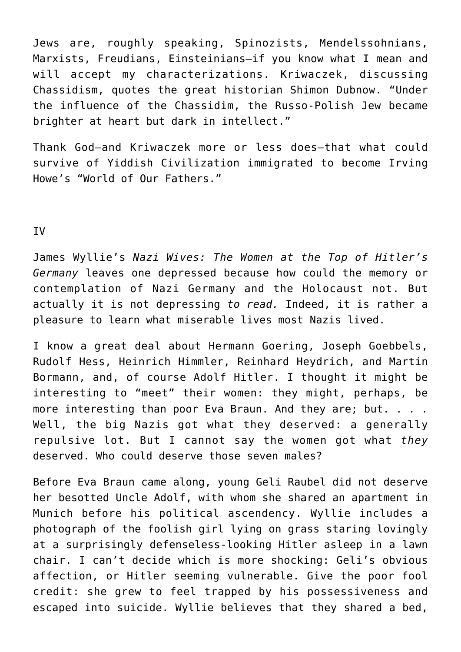Jews are, roughly speaking, Spinozists, Mendelssohnians, Marxists, Freudians, Einsteinians—if you know what I mean and will accept my characterizations. Kriwaczek, discussing Chassidism, quotes the great historian Shimon Dubnow. "Under the influence of the Chassidim, the Russo-Polish Jew became brighter at heart but dark in intellect."

Thank God—and Kriwaczek more or less does—that what could survive of Yiddish Civilization immigrated to become Irving Howe's "World of Our Fathers."

IV

James Wyllie's *Nazi Wives: The Women at the Top of Hitler's Germany* leaves one depressed because how could the memory or contemplation of Nazi Germany and the Holocaust not. But actually it is not depressing *to read.* Indeed, it is rather a pleasure to learn what miserable lives most Nazis lived.

I know a great deal about Hermann Goering, Joseph Goebbels, Rudolf Hess, Heinrich Himmler, Reinhard Heydrich, and Martin Bormann, and, of course Adolf Hitler. I thought it might be interesting to "meet" their women: they might, perhaps, be more interesting than poor Eva Braun. And they are; but. . . . Well, the big Nazis got what they deserved: a generally repulsive lot. But I cannot say the women got what *they* deserved. Who could deserve those seven males?

Before Eva Braun came along, young Geli Raubel did not deserve her besotted Uncle Adolf, with whom she shared an apartment in Munich before his political ascendency. Wyllie includes a photograph of the foolish girl lying on grass staring lovingly at a surprisingly defenseless-looking Hitler asleep in a lawn chair. I can't decide which is more shocking: Geli's obvious affection, or Hitler seeming vulnerable. Give the poor fool credit: she grew to feel trapped by his possessiveness and escaped into suicide. Wyllie believes that they shared a bed,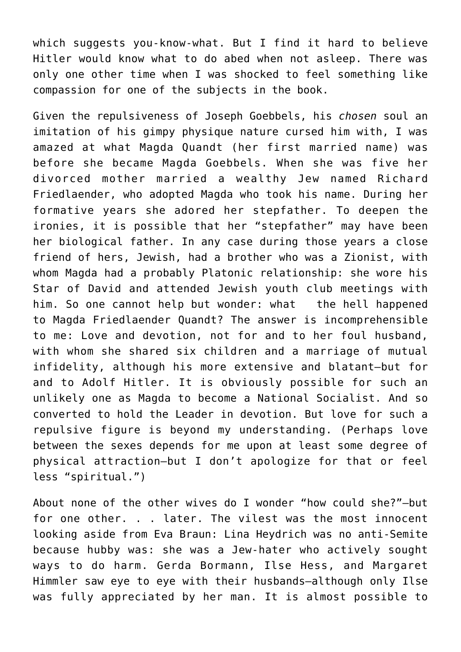which suggests you-know-what. But I find it hard to believe Hitler would know what to do abed when not asleep. There was only one other time when I was shocked to feel something like compassion for one of the subjects in the book.

Given the repulsiveness of Joseph Goebbels, his *chosen* soul an imitation of his gimpy physique nature cursed him with, I was amazed at what Magda Quandt (her first married name) was before she became Magda Goebbels. When she was five her divorced mother married a wealthy Jew named Richard Friedlaender, who adopted Magda who took his name. During her formative years she adored her stepfather. To deepen the ironies, it is possible that her "stepfather" may have been her biological father. In any case during those years a close friend of hers, Jewish, had a brother who was a Zionist, with whom Magda had a probably Platonic relationship: she wore his Star of David and attended Jewish youth club meetings with him. So one cannot help but wonder: what the hell happened to Magda Friedlaender Quandt? The answer is incomprehensible to me: Love and devotion, not for and to her foul husband, with whom she shared six children and a marriage of mutual infidelity, although his more extensive and blatant—but for and to Adolf Hitler. It is obviously possible for such an unlikely one as Magda to become a National Socialist. And so converted to hold the Leader in devotion. But love for such a repulsive figure is beyond my understanding. (Perhaps love between the sexes depends for me upon at least some degree of physical attraction—but I don't apologize for that or feel less "spiritual.")

About none of the other wives do I wonder "how could she?"—but for one other. . . later. The vilest was the most innocent looking aside from Eva Braun: Lina Heydrich was no anti-Semite because hubby was: she was a Jew-hater who actively sought ways to do harm. Gerda Bormann, Ilse Hess, and Margaret Himmler saw eye to eye with their husbands—although only Ilse was fully appreciated by her man. It is almost possible to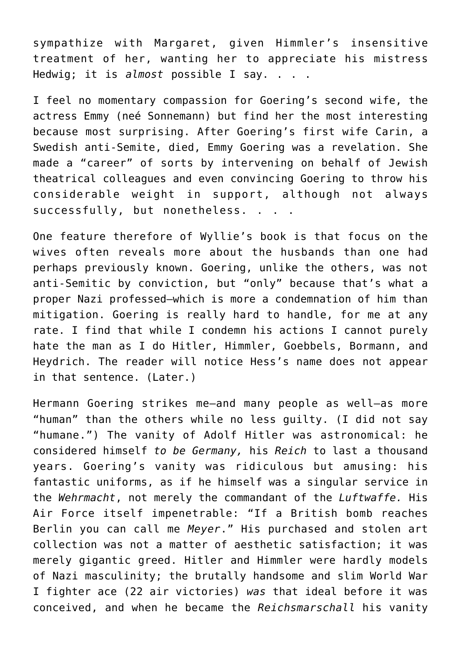sympathize with Margaret, given Himmler's insensitive treatment of her, wanting her to appreciate his mistress Hedwig; it is *almost* possible I say. . . .

I feel no momentary compassion for Goering's second wife, the actress Emmy (neé Sonnemann) but find her the most interesting because most surprising. After Goering's first wife Carin, a Swedish anti-Semite, died, Emmy Goering was a revelation. She made a "career" of sorts by intervening on behalf of Jewish theatrical colleagues and even convincing Goering to throw his considerable weight in support, although not always successfully, but nonetheless. . . .

One feature therefore of Wyllie's book is that focus on the wives often reveals more about the husbands than one had perhaps previously known. Goering, unlike the others, was not anti-Semitic by conviction, but "only" because that's what a proper Nazi professed—which is more a condemnation of him than mitigation. Goering is really hard to handle, for me at any rate. I find that while I condemn his actions I cannot purely hate the man as I do Hitler, Himmler, Goebbels, Bormann, and Heydrich. The reader will notice Hess's name does not appear in that sentence. (Later.)

Hermann Goering strikes me—and many people as well—as more "human" than the others while no less guilty. (I did not say "humane.") The vanity of Adolf Hitler was astronomical: he considered himself *to be Germany,* his *Reich* to last a thousand years. Goering's vanity was ridiculous but amusing: his fantastic uniforms, as if he himself was a singular service in the *Wehrmacht*, not merely the commandant of the *Luftwaffe.* His Air Force itself impenetrable: "If a British bomb reaches Berlin you can call me *Meyer*." His purchased and stolen art collection was not a matter of aesthetic satisfaction; it was merely gigantic greed. Hitler and Himmler were hardly models of Nazi masculinity; the brutally handsome and slim World War I fighter ace (22 air victories) *was* that ideal before it was conceived, and when he became the *Reichsmarschall* his vanity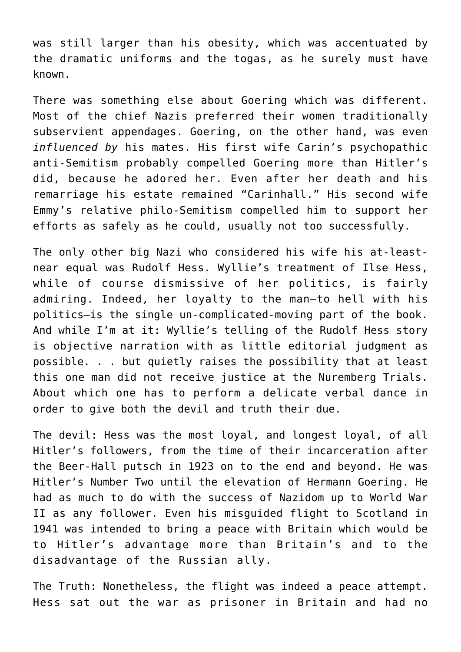was still larger than his obesity, which was accentuated by the dramatic uniforms and the togas, as he surely must have known.

There was something else about Goering which was different. Most of the chief Nazis preferred their women traditionally subservient appendages. Goering, on the other hand, was even *influenced by* his mates. His first wife Carin's psychopathic anti-Semitism probably compelled Goering more than Hitler's did, because he adored her. Even after her death and his remarriage his estate remained "Carinhall." His second wife Emmy's relative philo-Semitism compelled him to support her efforts as safely as he could, usually not too successfully.

The only other big Nazi who considered his wife his at-leastnear equal was Rudolf Hess. Wyllie's treatment of Ilse Hess, while of course dismissive of her politics, is fairly admiring. Indeed, her loyalty to the man—to hell with his politics—is the single un-complicated-moving part of the book. And while I'm at it: Wyllie's telling of the Rudolf Hess story is objective narration with as little editorial judgment as possible. . . but quietly raises the possibility that at least this one man did not receive justice at the Nuremberg Trials. About which one has to perform a delicate verbal dance in order to give both the devil and truth their due.

The devil: Hess was the most loyal, and longest loyal, of all Hitler's followers, from the time of their incarceration after the Beer-Hall putsch in 1923 on to the end and beyond. He was Hitler's Number Two until the elevation of Hermann Goering. He had as much to do with the success of Nazidom up to World War II as any follower. Even his misguided flight to Scotland in 1941 was intended to bring a peace with Britain which would be to Hitler's advantage more than Britain's and to the disadvantage of the Russian ally.

The Truth: Nonetheless, the flight was indeed a peace attempt. Hess sat out the war as prisoner in Britain and had no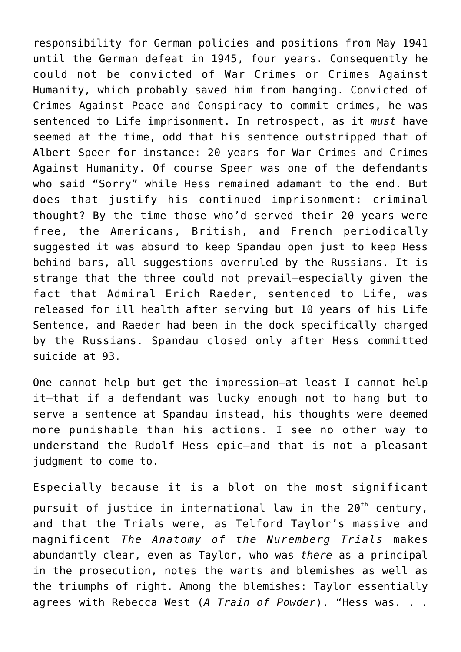responsibility for German policies and positions from May 1941 until the German defeat in 1945, four years. Consequently he could not be convicted of War Crimes or Crimes Against Humanity, which probably saved him from hanging. Convicted of Crimes Against Peace and Conspiracy to commit crimes, he was sentenced to Life imprisonment. In retrospect, as it *must* have seemed at the time, odd that his sentence outstripped that of Albert Speer for instance: 20 years for War Crimes and Crimes Against Humanity. Of course Speer was one of the defendants who said "Sorry" while Hess remained adamant to the end. But does that justify his continued imprisonment: criminal thought? By the time those who'd served their 20 years were free, the Americans, British, and French periodically suggested it was absurd to keep Spandau open just to keep Hess behind bars, all suggestions overruled by the Russians. It is strange that the three could not prevail—especially given the fact that Admiral Erich Raeder, sentenced to Life, was released for ill health after serving but 10 years of his Life Sentence, and Raeder had been in the dock specifically charged by the Russians. Spandau closed only after Hess committed suicide at 93.

One cannot help but get the impression—at least I cannot help it—that if a defendant was lucky enough not to hang but to serve a sentence at Spandau instead, his thoughts were deemed more punishable than his actions. I see no other way to understand the Rudolf Hess epic—and that is not a pleasant judgment to come to.

Especially because it is a blot on the most significant pursuit of justice in international law in the  $20<sup>th</sup>$  century, and that the Trials were, as Telford Taylor's massive and magnificent *The Anatomy of the Nuremberg Trials* makes abundantly clear, even as Taylor, who was *there* as a principal in the prosecution, notes the warts and blemishes as well as the triumphs of right. Among the blemishes: Taylor essentially agrees with Rebecca West (*A Train of Powder*). "Hess was. . .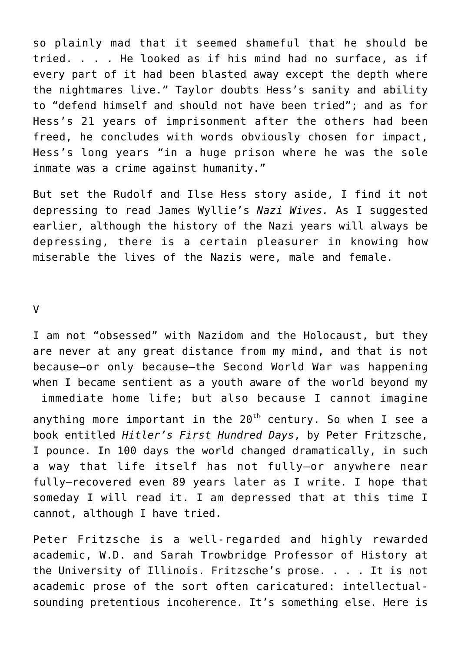so plainly mad that it seemed shameful that he should be tried. . . . He looked as if his mind had no surface, as if every part of it had been blasted away except the depth where the nightmares live." Taylor doubts Hess's sanity and ability to "defend himself and should not have been tried"; and as for Hess's 21 years of imprisonment after the others had been freed, he concludes with words obviously chosen for impact, Hess's long years "in a huge prison where he was the sole inmate was a crime against humanity."

But set the Rudolf and Ilse Hess story aside, I find it not depressing to read James Wyllie's *Nazi Wives.* As I suggested earlier, although the history of the Nazi years will always be depressing, there is a certain pleasurer in knowing how miserable the lives of the Nazis were, male and female.

 $\mathsf{V}$ 

I am not "obsessed" with Nazidom and the Holocaust, but they are never at any great distance from my mind, and that is not because—or only because—the Second World War was happening when I became sentient as a youth aware of the world beyond my immediate home life; but also because I cannot imagine

anything more important in the  $20<sup>th</sup>$  century. So when I see a book entitled *Hitler's First Hundred Days*, by Peter Fritzsche, I pounce. In 100 days the world changed dramatically, in such a way that life itself has not fully—or anywhere near fully—recovered even 89 years later as I write. I hope that someday I will read it. I am depressed that at this time I cannot, although I have tried.

Peter Fritzsche is a well-regarded and highly rewarded academic, W.D. and Sarah Trowbridge Professor of History at the University of Illinois. Fritzsche's prose. . . . It is not academic prose of the sort often caricatured: intellectualsounding pretentious incoherence. It's something else. Here is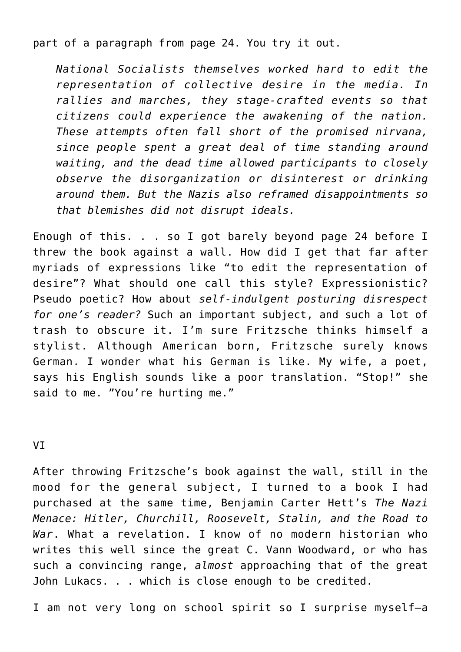part of a paragraph from page 24. You try it out.

*National Socialists themselves worked hard to edit the representation of collective desire in the media. In rallies and marches, they stage-crafted events so that citizens could experience the awakening of the nation. These attempts often fall short of the promised nirvana, since people spent a great deal of time standing around waiting, and the dead time allowed participants to closely observe the disorganization or disinterest or drinking around them. But the Nazis also reframed disappointments so that blemishes did not disrupt ideals.*

Enough of this. . . so I got barely beyond page 24 before I threw the book against a wall. How did I get that far after myriads of expressions like "to edit the representation of desire"? What should one call this style? Expressionistic? Pseudo poetic? How about *self-indulgent posturing disrespect for one's reader?* Such an important subject, and such a lot of trash to obscure it. I'm sure Fritzsche thinks himself a stylist. Although American born, Fritzsche surely knows German. I wonder what his German is like. My wife, a poet, says his English sounds like a poor translation. "Stop!" she said to me. "You're hurting me."

VI

After throwing Fritzsche's book against the wall, still in the mood for the general subject, I turned to a book I had purchased at the same time, Benjamin Carter Hett's *The Nazi Menace: Hitler, Churchill, Roosevelt, Stalin, and the Road to War*. What a revelation. I know of no modern historian who writes this well since the great C. Vann Woodward, or who has such a convincing range, *almost* approaching that of the great John Lukacs. . . which is close enough to be credited.

I am not very long on school spirit so I surprise myself—a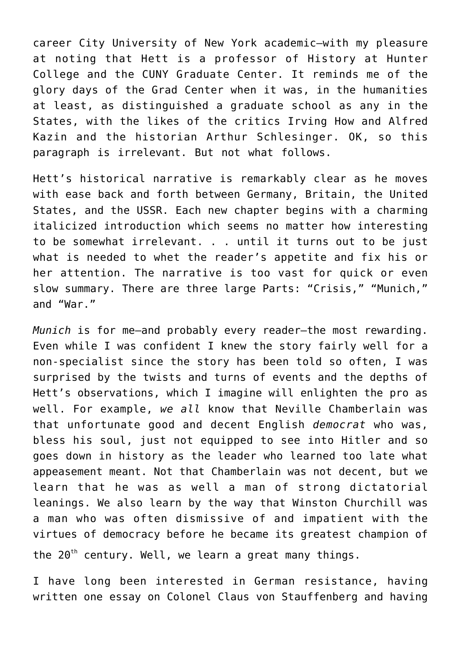career City University of New York academic—with my pleasure at noting that Hett is a professor of History at Hunter College and the CUNY Graduate Center. It reminds me of the glory days of the Grad Center when it was, in the humanities at least, as distinguished a graduate school as any in the States, with the likes of the critics Irving How and Alfred Kazin and the historian Arthur Schlesinger. OK, so this paragraph is irrelevant. But not what follows.

Hett's historical narrative is remarkably clear as he moves with ease back and forth between Germany, Britain, the United States, and the USSR. Each new chapter begins with a charming italicized introduction which seems no matter how interesting to be somewhat irrelevant. . . until it turns out to be just what is needed to whet the reader's appetite and fix his or her attention. The narrative is too vast for quick or even slow summary. There are three large Parts: "Crisis," "Munich," and "War."

*Munich* is for me—and probably every reader—the most rewarding. Even while I was confident I knew the story fairly well for a non-specialist since the story has been told so often, I was surprised by the twists and turns of events and the depths of Hett's observations, which I imagine will enlighten the pro as well. For example, *we all* know that Neville Chamberlain was that unfortunate good and decent English *democrat* who was, bless his soul, just not equipped to see into Hitler and so goes down in history as the leader who learned too late what appeasement meant. Not that Chamberlain was not decent, but we learn that he was as well a man of strong dictatorial leanings. We also learn by the way that Winston Churchill was a man who was often dismissive of and impatient with the virtues of democracy before he became its greatest champion of the  $20^{th}$  century. Well, we learn a great many things.

I have long been interested in German resistance, having written one essay on Colonel Claus von Stauffenberg and having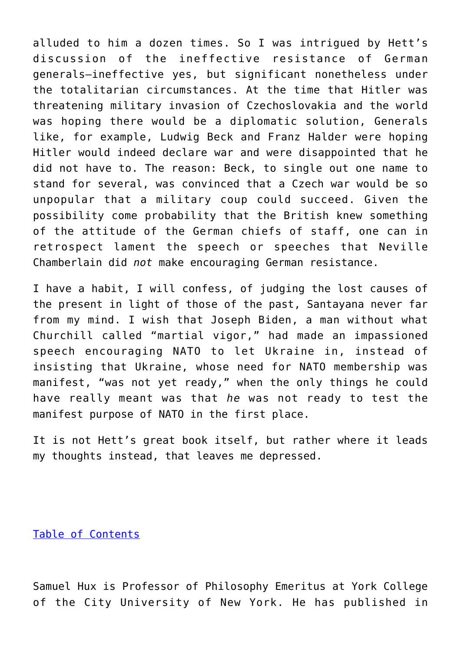alluded to him a dozen times. So I was intrigued by Hett's discussion of the ineffective resistance of German generals—ineffective yes, but significant nonetheless under the totalitarian circumstances. At the time that Hitler was threatening military invasion of Czechoslovakia and the world was hoping there would be a diplomatic solution, Generals like, for example, Ludwig Beck and Franz Halder were hoping Hitler would indeed declare war and were disappointed that he did not have to. The reason: Beck, to single out one name to stand for several, was convinced that a Czech war would be so unpopular that a military coup could succeed. Given the possibility come probability that the British knew something of the attitude of the German chiefs of staff, one can in retrospect lament the speech or speeches that Neville Chamberlain did *not* make encouraging German resistance.

I have a habit, I will confess, of judging the lost causes of the present in light of those of the past, Santayana never far from my mind. I wish that Joseph Biden, a man without what Churchill called "martial vigor," had made an impassioned speech encouraging NATO to let Ukraine in, instead of insisting that Ukraine, whose need for NATO membership was manifest, "was not yet ready," when the only things he could have really meant was that *he* was not ready to test the manifest purpose of NATO in the first place.

It is not Hett's great book itself, but rather where it leads my thoughts instead, that leaves me depressed.

[Table of Contents](https://www.newenglishreview.org/)

Samuel Hux is Professor of Philosophy Emeritus at York College of the City University of New York. He has published in